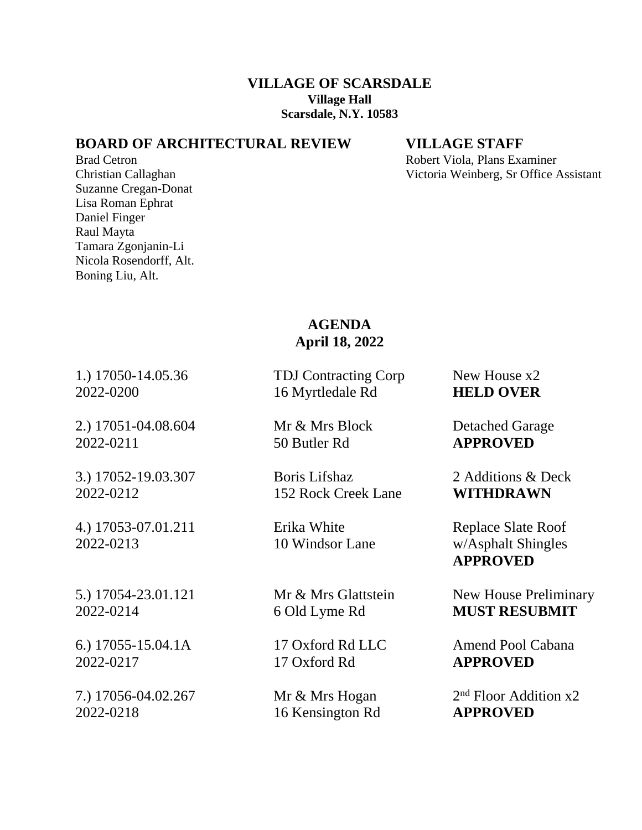### **VILLAGE OF SCARSDALE Village Hall Scarsdale, N.Y. 10583**

### **BOARD OF ARCHITECTURAL REVIEW VILLAGE STAFF**

Suzanne Cregan-Donat Lisa Roman Ephrat Daniel Finger Raul Mayta Tamara Zgonjanin-Li Nicola Rosendorff, Alt. Boning Liu, Alt.

Brad Cetron **Robert Viola, Plans Examiner** Robert Viola, Plans Examiner Christian Callaghan Victoria Weinberg, Sr Office Assistant

# **AGENDA April 18, 2022**

1.) 17050**-**14.05.36 TDJ Contracting Corp New House x2

2.) 17051-04.08.604 Mr & Mrs Block Detached Garage 2022-0211 50 Butler Rd **APPROVED**

4.) 17053-07.01.211 Erika White Replace Slate Roof 2022-0213 10 Windsor Lane w/Asphalt Shingles

2022-0217 17 Oxford Rd **APPROVED**

7.) 17056-04.02.267 Mr & Mrs Hogan 2 2022-0218 16 Kensington Rd **APPROVED**

2022-0200 16 Myrtledale Rd **HELD OVER**

3.) 17052-19.03.307 Boris Lifshaz 2 Additions & Deck 2022-0212 152 Rock Creek Lane **WITHDRAWN**

**APPROVED**

5.) 17054-23.01.121 Mr & Mrs Glattstein New House Preliminary 2022-0214 6 Old Lyme Rd **MUST RESUBMIT**

6.) 17055-15.04.1A 17 Oxford Rd LLC Amend Pool Cabana

 $2<sup>nd</sup>$  Floor Addition x2